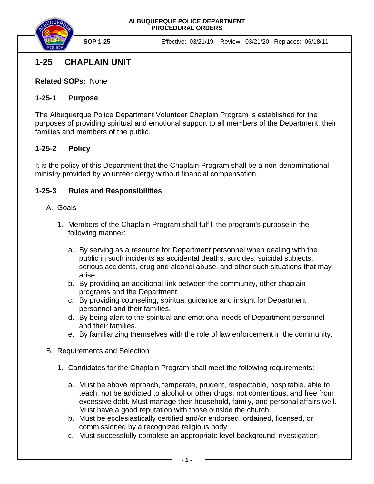

**SOP 1-25** Effective: 03/21/19 Review: 03/21/20 Replaces: 06/18/11

# **1-25 CHAPLAIN UNIT**

**Related SOPs:** None

### **1-25-1 Purpose**

The Albuquerque Police Department Volunteer Chaplain Program is established for the purposes of providing spiritual and emotional support to all members of the Department, their families and members of the public.

# **1-25-2 Policy**

It is the policy of this Department that the Chaplain Program shall be a non-denominational ministry provided by volunteer clergy without financial compensation.

# **1-25-3 Rules and Responsibilities**

### A. Goals

- 1. Members of the Chaplain Program shall fulfill the program's purpose in the following manner:
	- a. By serving as a resource for Department personnel when dealing with the public in such incidents as accidental deaths, suicides, suicidal subjects, serious accidents, drug and alcohol abuse, and other such situations that may arise.
	- b. By providing an additional link between the community, other chaplain programs and the Department.
	- c. By providing counseling, spiritual guidance and insight for Department personnel and their families.
	- d. By being alert to the spiritual and emotional needs of Department personnel and their families.
	- e. By familiarizing themselves with the role of law enforcement in the community.
- B. Requirements and Selection
	- 1. Candidates for the Chaplain Program shall meet the following requirements:
		- a. Must be above reproach, temperate, prudent, respectable, hospitable, able to teach, not be addicted to alcohol or other drugs, not contentious, and free from excessive debt. Must manage their household, family, and personal affairs well. Must have a good reputation with those outside the church.
		- b. Must be ecclesiastically certified and/or endorsed, ordained, licensed, or commissioned by a recognized religious body.
		- c. Must successfully complete an appropriate level background investigation.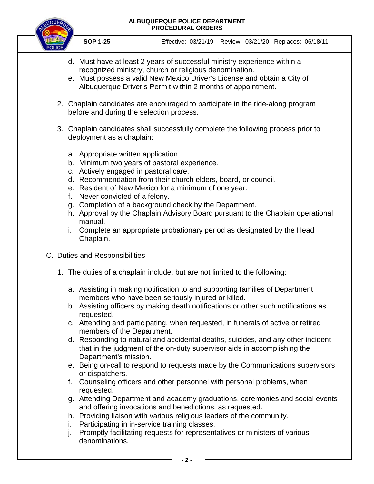#### **ALBUQUERQUE POLICE DEPARTMENT PROCEDURAL ORDERS**



**SOP 1-25** Effective: 03/21/19 Review: 03/21/20 Replaces: 06/18/11

- d. Must have at least 2 years of successful ministry experience within a recognized ministry, church or religious denomination.
- e. Must possess a valid New Mexico Driver's License and obtain a City of Albuquerque Driver's Permit within 2 months of appointment.
- 2. Chaplain candidates are encouraged to participate in the ride-along program before and during the selection process.
- 3. Chaplain candidates shall successfully complete the following process prior to deployment as a chaplain:
	- a. Appropriate written application.
	- b. Minimum two years of pastoral experience.
	- c. Actively engaged in pastoral care.
	- d. Recommendation from their church elders, board, or council.
	- e. Resident of New Mexico for a minimum of one year.
	- f. Never convicted of a felony.
	- g. Completion of a background check by the Department.
	- h. Approval by the Chaplain Advisory Board pursuant to the Chaplain operational manual.
	- i. Complete an appropriate probationary period as designated by the Head Chaplain.
- C. Duties and Responsibilities
	- 1. The duties of a chaplain include, but are not limited to the following:
		- a. Assisting in making notification to and supporting families of Department members who have been seriously injured or killed.
		- b. Assisting officers by making death notifications or other such notifications as requested.
		- c. Attending and participating, when requested, in funerals of active or retired members of the Department.
		- d. Responding to natural and accidental deaths, suicides, and any other incident that in the judgment of the on-duty supervisor aids in accomplishing the Department's mission.
		- e. Being on-call to respond to requests made by the Communications supervisors or dispatchers.
		- f. Counseling officers and other personnel with personal problems, when requested.
		- g. Attending Department and academy graduations, ceremonies and social events and offering invocations and benedictions, as requested.
		- h. Providing liaison with various religious leaders of the community.
		- i. Participating in in-service training classes.
		- j. Promptly facilitating requests for representatives or ministers of various denominations.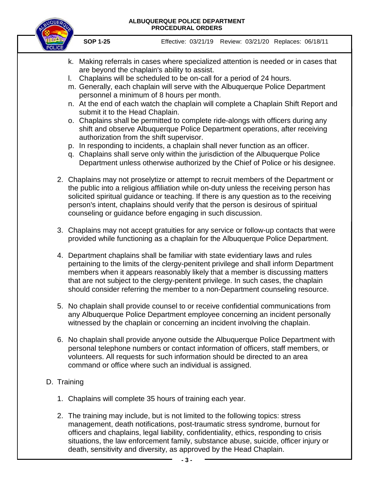#### **ALBUQUERQUE POLICE DEPARTMENT PROCEDURAL ORDERS**



**SOP 1-25** Effective: 03/21/19 Review: 03/21/20 Replaces: 06/18/11

- k. Making referrals in cases where specialized attention is needed or in cases that are beyond the chaplain's ability to assist.
- l. Chaplains will be scheduled to be on-call for a period of 24 hours.
- m. Generally, each chaplain will serve with the Albuquerque Police Department personnel a minimum of 8 hours per month.
- n. At the end of each watch the chaplain will complete a Chaplain Shift Report and submit it to the Head Chaplain.
- o. Chaplains shall be permitted to complete ride-alongs with officers during any shift and observe Albuquerque Police Department operations, after receiving authorization from the shift supervisor.
- p. In responding to incidents, a chaplain shall never function as an officer.
- q. Chaplains shall serve only within the jurisdiction of the Albuquerque Police Department unless otherwise authorized by the Chief of Police or his designee.
- 2. Chaplains may not proselytize or attempt to recruit members of the Department or the public into a religious affiliation while on-duty unless the receiving person has solicited spiritual guidance or teaching. If there is any question as to the receiving person's intent, chaplains should verify that the person is desirous of spiritual counseling or guidance before engaging in such discussion.
- 3. Chaplains may not accept gratuities for any service or follow-up contacts that were provided while functioning as a chaplain for the Albuquerque Police Department.
- 4. Department chaplains shall be familiar with state evidentiary laws and rules pertaining to the limits of the clergy-penitent privilege and shall inform Department members when it appears reasonably likely that a member is discussing matters that are not subject to the clergy-penitent privilege. In such cases, the chaplain should consider referring the member to a non-Department counseling resource.
- 5. No chaplain shall provide counsel to or receive confidential communications from any Albuquerque Police Department employee concerning an incident personally witnessed by the chaplain or concerning an incident involving the chaplain.
- 6. No chaplain shall provide anyone outside the Albuquerque Police Department with personal telephone numbers or contact information of officers, staff members, or volunteers. All requests for such information should be directed to an area command or office where such an individual is assigned.

# D. Training

- 1. Chaplains will complete 35 hours of training each year.
- 2. The training may include, but is not limited to the following topics: stress management, death notifications, post-traumatic stress syndrome, burnout for officers and chaplains, legal liability, confidentiality, ethics, responding to crisis situations, the law enforcement family, substance abuse, suicide, officer injury or death, sensitivity and diversity, as approved by the Head Chaplain.